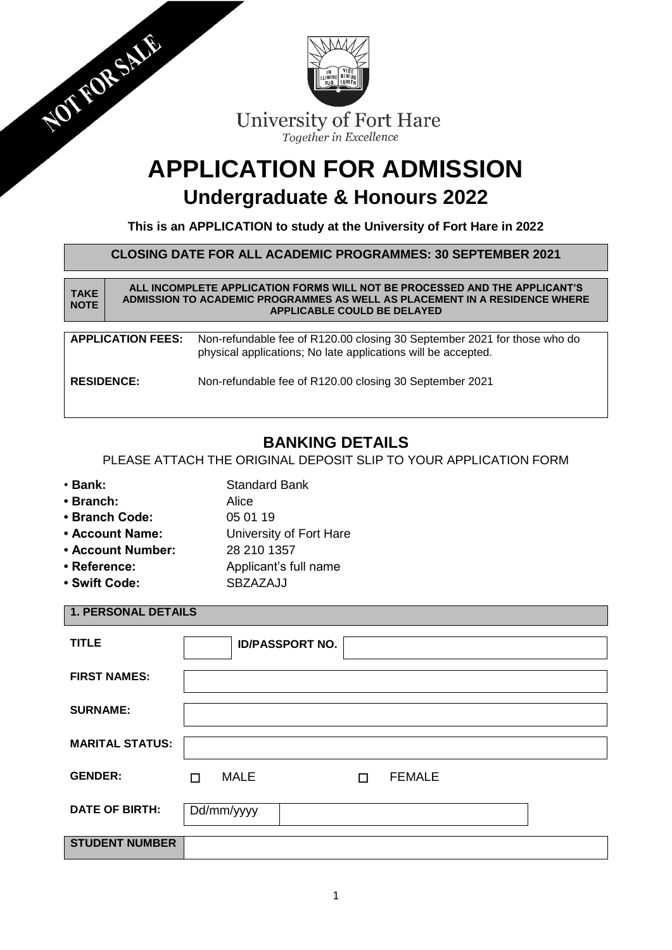| NOT FORSALE                |                                                                                                                                            | IN VIDE<br>LUMINE BIMUS<br>TUO LUMEN<br>University of Fort Hare<br>Together in Excellence                                                                                                      |  |  |  |  |  |  |  |  |
|----------------------------|--------------------------------------------------------------------------------------------------------------------------------------------|------------------------------------------------------------------------------------------------------------------------------------------------------------------------------------------------|--|--|--|--|--|--|--|--|
|                            | <b>APPLICATION FOR ADMISSION</b><br>Undergraduate & Honours 2022<br>This is an APPLICATION to study at the University of Fort Hare in 2022 |                                                                                                                                                                                                |  |  |  |  |  |  |  |  |
|                            |                                                                                                                                            | <b>CLOSING DATE FOR ALL ACADEMIC PROGRAMMES: 30 SEPTEMBER 2021</b>                                                                                                                             |  |  |  |  |  |  |  |  |
| <b>TAKE</b><br><b>NOTE</b> |                                                                                                                                            | ALL INCOMPLETE APPLICATION FORMS WILL NOT BE PROCESSED AND THE APPLICANT'S<br>ADMISSION TO ACADEMIC PROGRAMMES AS WELL AS PLACEMENT IN A RESIDENCE WHERE<br><b>APPLICABLE COULD BE DELAYED</b> |  |  |  |  |  |  |  |  |
|                            | <b>APPLICATION FEES:</b>                                                                                                                   | Non-refundable fee of R120.00 closing 30 September 2021 for those who do<br>physical applications; No late applications will be accepted.                                                      |  |  |  |  |  |  |  |  |
| <b>RESIDENCE:</b>          |                                                                                                                                            | Non-refundable fee of R120.00 closing 30 September 2021                                                                                                                                        |  |  |  |  |  |  |  |  |

# **BANKING DETAILS**

PLEASE ATTACH THE ORIGINAL DEPOSIT SLIP TO YOUR APPLICATION FORM

- Bank: Standard Bank
- **• Branch:** Alice
- 
- **Branch Code:** 05 01 19
- **Account Name:** University of Fort Hare
- **Account Number:** 28 210 1357
- Reference: Applicant's full name
- Swift Code: SBZAZAJJ

## **1. PERSONAL DETAILS**

| <b>TITLE</b>           | <b>ID/PASSPORT NO.</b>                 |
|------------------------|----------------------------------------|
| <b>FIRST NAMES:</b>    |                                        |
| <b>SURNAME:</b>        |                                        |
| <b>MARITAL STATUS:</b> |                                        |
| <b>GENDER:</b>         | <b>MALE</b><br><b>FEMALE</b><br>п<br>п |
| <b>DATE OF BIRTH:</b>  | Dd/mm/yyyy                             |
| <b>STUDENT NUMBER</b>  |                                        |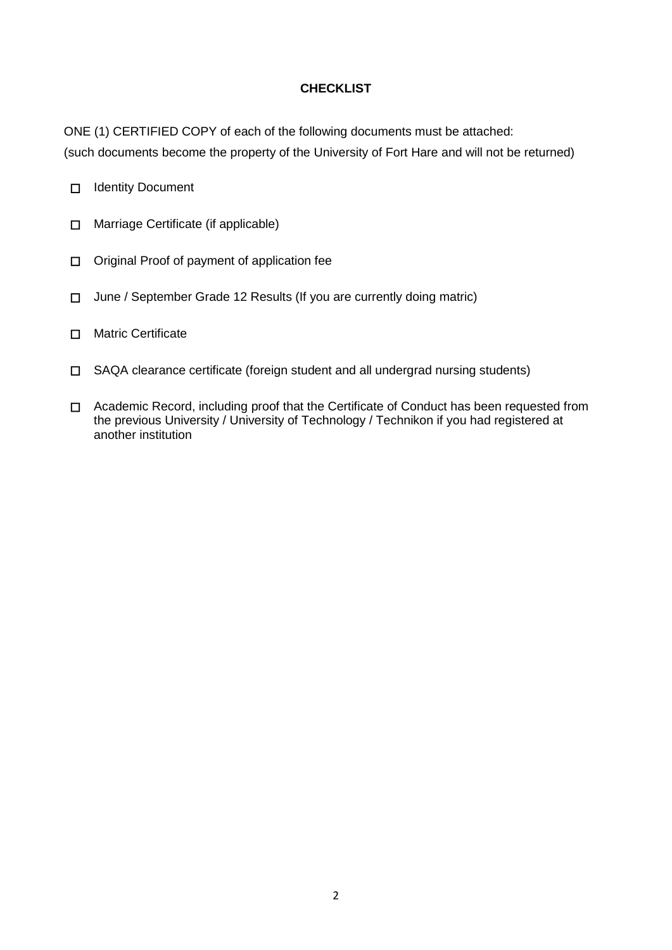## **CHECKLIST**

ONE (1) CERTIFIED COPY of each of the following documents must be attached:

(such documents become the property of the University of Fort Hare and will not be returned)

- ☐ Identity Document
- ☐ Marriage Certificate (if applicable)
- ☐ Original Proof of payment of application fee
- ☐ June / September Grade 12 Results (If you are currently doing matric)
- ☐ Matric Certificate
- ☐ SAQA clearance certificate (foreign student and all undergrad nursing students)
- ☐ Academic Record, including proof that the Certificate of Conduct has been requested from the previous University / University of Technology / Technikon if you had registered at another institution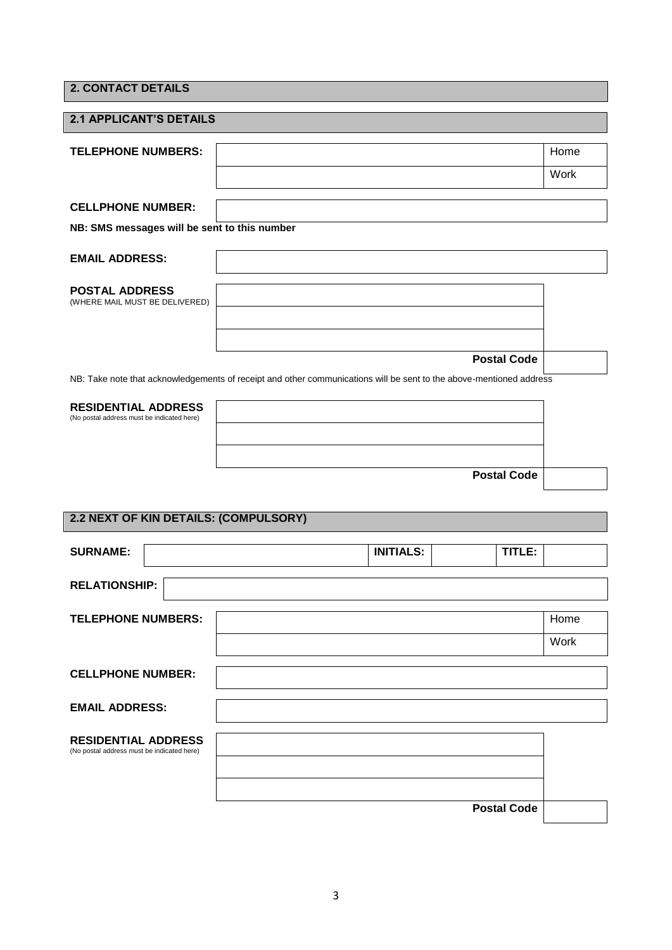|  | <b>2. CONTACT DETAILS</b> |  |
|--|---------------------------|--|
|  |                           |  |
|  |                           |  |
|  |                           |  |

| <b>2.1 APPLICANT'S DETAILS</b>                          |                                                                                                                                           |      |  |  |  |
|---------------------------------------------------------|-------------------------------------------------------------------------------------------------------------------------------------------|------|--|--|--|
| <b>TELEPHONE NUMBERS:</b>                               |                                                                                                                                           | Home |  |  |  |
|                                                         |                                                                                                                                           | Work |  |  |  |
| <b>CELLPHONE NUMBER:</b>                                |                                                                                                                                           |      |  |  |  |
| NB: SMS messages will be sent to this number            |                                                                                                                                           |      |  |  |  |
| <b>EMAIL ADDRESS:</b>                                   |                                                                                                                                           |      |  |  |  |
| <b>POSTAL ADDRESS</b><br>(WHERE MAIL MUST BE DELIVERED) |                                                                                                                                           |      |  |  |  |
|                                                         |                                                                                                                                           |      |  |  |  |
|                                                         | <b>Postal Code</b><br>NB: Take note that acknowledgements of receipt and other communications will be sent to the above-mentioned address |      |  |  |  |

| <b>RESIDENTIAL ADDRESS</b><br>(No postal address must be indicated here) |                    |  |
|--------------------------------------------------------------------------|--------------------|--|
|                                                                          |                    |  |
|                                                                          |                    |  |
|                                                                          | <b>Postal Code</b> |  |

# **2.2 NEXT OF KIN DETAILS: (COMPULSORY)**

| <b>SURNAME:</b>                                                          | <b>INITIALS:</b> | TITLE:             |
|--------------------------------------------------------------------------|------------------|--------------------|
| <b>RELATIONSHIP:</b>                                                     |                  |                    |
| <b>TELEPHONE NUMBERS:</b>                                                |                  | Home<br>Work       |
| <b>CELLPHONE NUMBER:</b>                                                 |                  |                    |
| <b>EMAIL ADDRESS:</b>                                                    |                  |                    |
| <b>RESIDENTIAL ADDRESS</b><br>(No postal address must be indicated here) |                  |                    |
|                                                                          |                  | <b>Postal Code</b> |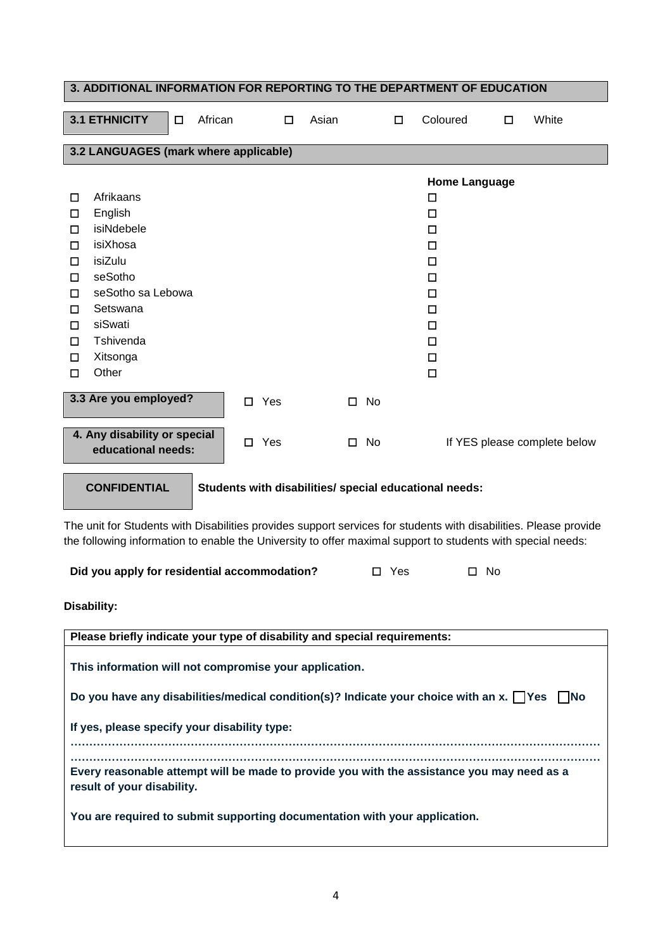|                                                          | 3. ADDITIONAL INFORMATION FOR REPORTING TO THE DEPARTMENT OF EDUCATION                                                        |        |         |             |            |       |   |                    |            |                                                                              |                      |                                                                                                                  |
|----------------------------------------------------------|-------------------------------------------------------------------------------------------------------------------------------|--------|---------|-------------|------------|-------|---|--------------------|------------|------------------------------------------------------------------------------|----------------------|------------------------------------------------------------------------------------------------------------------|
|                                                          | <b>3.1 ETHNICITY</b>                                                                                                          | $\Box$ | African |             | □          | Asian |   |                    | □          | Coloured                                                                     | □                    | White                                                                                                            |
|                                                          | 3.2 LANGUAGES (mark where applicable)                                                                                         |        |         |             |            |       |   |                    |            |                                                                              |                      |                                                                                                                  |
| □<br>□<br>$\Box$<br>□<br>□<br>□<br>□<br>□<br>$\Box$<br>□ | Afrikaans<br>English<br>isiNdebele<br>isiXhosa<br>isiZulu<br>seSotho<br>seSotho sa Lebowa<br>Setswana<br>siSwati<br>Tshivenda |        |         |             |            |       |   |                    |            | □<br>□<br>$\Box$<br>$\Box$<br>□<br>$\Box$<br>$\Box$<br>$\Box$<br>$\Box$<br>□ | <b>Home Language</b> |                                                                                                                  |
| □<br>□                                                   | Xitsonga<br>Other                                                                                                             |        |         |             |            |       |   |                    |            | □<br>□                                                                       |                      |                                                                                                                  |
|                                                          | 3.3 Are you employed?<br>4. Any disability or special                                                                         |        |         | $\Box$<br>□ | Yes<br>Yes |       | □ | No<br>$\square$ No |            |                                                                              |                      | If YES please complete below                                                                                     |
|                                                          | educational needs:                                                                                                            |        |         |             |            |       |   |                    |            |                                                                              |                      |                                                                                                                  |
|                                                          | <b>CONFIDENTIAL</b>                                                                                                           |        |         |             |            |       |   |                    |            | Students with disabilities/ special educational needs:                       |                      | The unit for Students with Disabilities provides support services for students with disabilities. Please provide |
|                                                          | the following information to enable the University to offer maximal support to students with special needs:                   |        |         |             |            |       |   |                    |            |                                                                              |                      |                                                                                                                  |
|                                                          | Did you apply for residential accommodation?                                                                                  |        |         |             |            |       |   |                    | $\Box$ Yes |                                                                              | $\square$ No         |                                                                                                                  |
|                                                          | Disability:                                                                                                                   |        |         |             |            |       |   |                    |            |                                                                              |                      |                                                                                                                  |
|                                                          | Please briefly indicate your type of disability and special requirements:                                                     |        |         |             |            |       |   |                    |            |                                                                              |                      |                                                                                                                  |
|                                                          | This information will not compromise your application.                                                                        |        |         |             |            |       |   |                    |            |                                                                              |                      |                                                                                                                  |
|                                                          | Do you have any disabilities/medical condition(s)? Indicate your choice with an x. $\Box$ Yes                                 |        |         |             |            |       |   |                    |            |                                                                              |                      | l INo                                                                                                            |
|                                                          | If yes, please specify your disability type:                                                                                  |        |         |             |            |       |   |                    |            |                                                                              |                      |                                                                                                                  |
|                                                          | Every reasonable attempt will be made to provide you with the assistance you may need as a<br>result of your disability.      |        |         |             |            |       |   |                    |            |                                                                              |                      |                                                                                                                  |
|                                                          | You are required to submit supporting documentation with your application.                                                    |        |         |             |            |       |   |                    |            |                                                                              |                      |                                                                                                                  |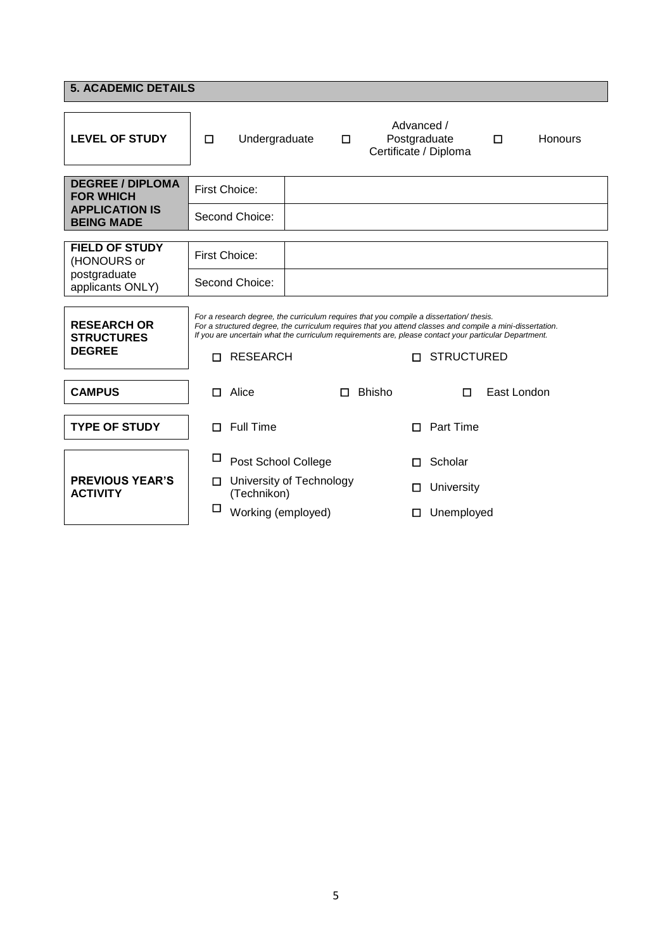| <b>5. ACADEMIC DETAILS</b>                                           |                                                                                                                                                                                                                                                                                                               |                   |  |  |  |  |  |  |
|----------------------------------------------------------------------|---------------------------------------------------------------------------------------------------------------------------------------------------------------------------------------------------------------------------------------------------------------------------------------------------------------|-------------------|--|--|--|--|--|--|
| <b>LEVEL OF STUDY</b>                                                | Advanced /<br>Postgraduate<br>$\Box$<br>Undergraduate<br>◻<br>Certificate / Diploma                                                                                                                                                                                                                           | Honours<br>$\Box$ |  |  |  |  |  |  |
| <b>DEGREE / DIPLOMA</b><br><b>FOR WHICH</b><br><b>APPLICATION IS</b> | <b>First Choice:</b>                                                                                                                                                                                                                                                                                          |                   |  |  |  |  |  |  |
| <b>BEING MADE</b>                                                    | Second Choice:                                                                                                                                                                                                                                                                                                |                   |  |  |  |  |  |  |
| <b>FIELD OF STUDY</b><br>(HONOURS or                                 | First Choice:                                                                                                                                                                                                                                                                                                 |                   |  |  |  |  |  |  |
| postgraduate<br>applicants ONLY)                                     | Second Choice:                                                                                                                                                                                                                                                                                                |                   |  |  |  |  |  |  |
| <b>RESEARCH OR</b><br><b>STRUCTURES</b>                              | For a research degree, the curriculum requires that you compile a dissertation/ thesis.<br>For a structured degree, the curriculum requires that you attend classes and compile a mini-dissertation.<br>If you are uncertain what the curriculum requirements are, please contact your particular Department. |                   |  |  |  |  |  |  |
| <b>DEGREE</b>                                                        | <b>RESEARCH</b><br>П.<br>п                                                                                                                                                                                                                                                                                    | <b>STRUCTURED</b> |  |  |  |  |  |  |
| <b>CAMPUS</b>                                                        | Alice<br><b>Bhisho</b><br>п<br>П                                                                                                                                                                                                                                                                              | East London<br>П  |  |  |  |  |  |  |
| <b>TYPE OF STUDY</b>                                                 | <b>Full Time</b><br>П<br>П                                                                                                                                                                                                                                                                                    | Part Time         |  |  |  |  |  |  |
|                                                                      | □<br>Post School College<br>Scholar<br>п                                                                                                                                                                                                                                                                      |                   |  |  |  |  |  |  |
| <b>PREVIOUS YEAR'S</b><br><b>ACTIVITY</b>                            | University of Technology<br>П<br>□<br>(Technikon)                                                                                                                                                                                                                                                             | University        |  |  |  |  |  |  |
|                                                                      | □<br>Working (employed)<br>□                                                                                                                                                                                                                                                                                  | Unemployed        |  |  |  |  |  |  |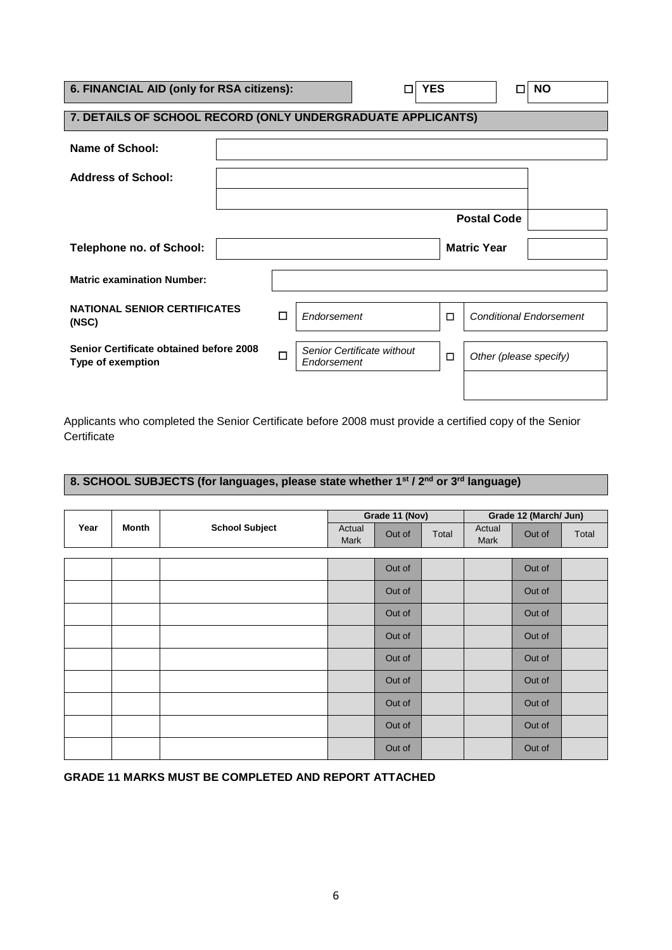| 6. FINANCIAL AID (only for RSA citizens):                           |                  |   |             | <b>YES</b>                 |        |                                | <b>NO</b> |  |
|---------------------------------------------------------------------|------------------|---|-------------|----------------------------|--------|--------------------------------|-----------|--|
| 7. DETAILS OF SCHOOL RECORD (ONLY UNDERGRADUATE APPLICANTS)         |                  |   |             |                            |        |                                |           |  |
| Name of School:                                                     |                  |   |             |                            |        |                                |           |  |
| <b>Address of School:</b>                                           |                  |   |             |                            |        |                                |           |  |
|                                                                     |                  |   |             |                            |        |                                |           |  |
|                                                                     |                  |   |             |                            |        | <b>Postal Code</b>             |           |  |
| <b>Telephone no. of School:</b>                                     |                  |   |             |                            |        | <b>Matric Year</b>             |           |  |
| <b>Matric examination Number:</b>                                   |                  |   |             |                            |        |                                |           |  |
| <b>NATIONAL SENIOR CERTIFICATES</b><br>(NSC)                        |                  | □ | Endorsement |                            | $\Box$ | <b>Conditional Endorsement</b> |           |  |
| Senior Certificate obtained before 2008<br><b>Type of exemption</b> | □<br>Endorsement |   |             | Senior Certificate without | □      | Other (please specify)         |           |  |
|                                                                     |                  |   |             |                            |        |                                |           |  |

Applicants who completed the Senior Certificate before 2008 must provide a certified copy of the Senior **Certificate** 

## **8. SCHOOL SUBJECTS (for languages, please state whether 1st / 2nd or 3rd language)**

|      |       |                       |                | Grade 11 (Nov) |       | Grade 12 (March/ Jun) |        |       |
|------|-------|-----------------------|----------------|----------------|-------|-----------------------|--------|-------|
| Year | Month | <b>School Subject</b> | Actual<br>Mark | Out of         | Total | Actual<br>Mark        | Out of | Total |
|      |       |                       |                |                |       |                       |        |       |
|      |       |                       |                | Out of         |       |                       | Out of |       |
|      |       |                       |                | Out of         |       |                       | Out of |       |
|      |       |                       |                | Out of         |       |                       | Out of |       |
|      |       |                       |                | Out of         |       |                       | Out of |       |
|      |       |                       |                | Out of         |       |                       | Out of |       |
|      |       |                       |                | Out of         |       |                       | Out of |       |
|      |       |                       |                | Out of         |       |                       | Out of |       |
|      |       |                       |                | Out of         |       |                       | Out of |       |
|      |       |                       |                | Out of         |       |                       | Out of |       |

**GRADE 11 MARKS MUST BE COMPLETED AND REPORT ATTACHED**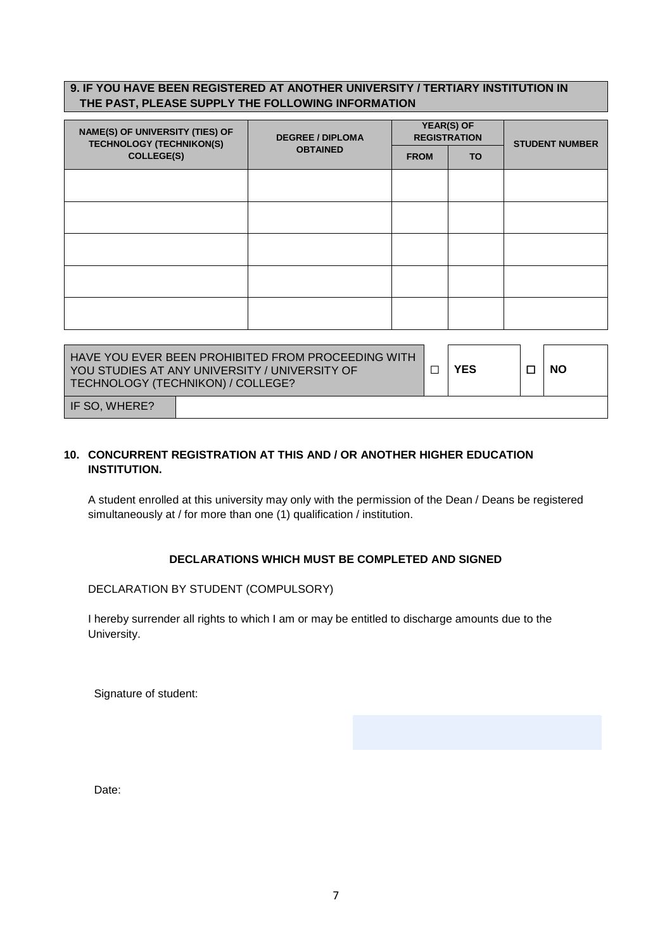## **9. IF YOU HAVE BEEN REGISTERED AT ANOTHER UNIVERSITY / TERTIARY INSTITUTION IN THE PAST, PLEASE SUPPLY THE FOLLOWING INFORMATION**

| <b>DEGREE / DIPLOMA</b> |                 |     | <b>STUDENT NUMBER</b>             |
|-------------------------|-----------------|-----|-----------------------------------|
|                         | <b>FROM</b>     | TO. |                                   |
|                         |                 |     |                                   |
|                         |                 |     |                                   |
|                         |                 |     |                                   |
|                         |                 |     |                                   |
|                         |                 |     |                                   |
|                         |                 |     |                                   |
|                         | <b>OBTAINED</b> |     | YEAR(S) OF<br><b>REGISTRATION</b> |

| LHAVE YOU EVER BEEN PROHIBITED FROM PROCEEDING WITH I<br>I YOU STUDIES AT ANY UNIVERSITY / UNIVERSITY OF<br>TECHNOLOGY (TECHNIKON) / COLLEGE? |  |  | <b>YES</b> | <b>NO</b> |
|-----------------------------------------------------------------------------------------------------------------------------------------------|--|--|------------|-----------|
| I IF SO. WHERE?                                                                                                                               |  |  |            |           |

## **10. CONCURRENT REGISTRATION AT THIS AND / OR ANOTHER HIGHER EDUCATION INSTITUTION.**

A student enrolled at this university may only with the permission of the Dean / Deans be registered simultaneously at / for more than one (1) qualification / institution.

### **DECLARATIONS WHICH MUST BE COMPLETED AND SIGNED**

### DECLARATION BY STUDENT (COMPULSORY)

I hereby surrender all rights to which I am or may be entitled to discharge amounts due to the University.

Signature of student:

Date: experience and the second contract of the second contract of the second contract of the second contract of the second contract of the second contract of the second contract of the second contract of the second contra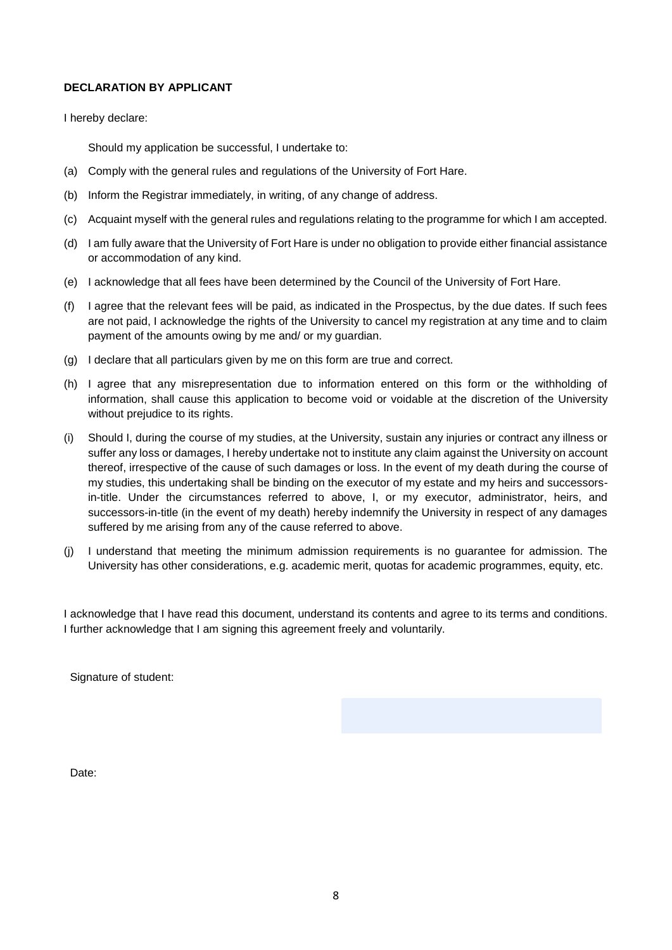### **DECLARATION BY APPLICANT**

I hereby declare:

Should my application be successful, I undertake to:

- (a) Comply with the general rules and regulations of the University of Fort Hare.
- (b) Inform the Registrar immediately, in writing, of any change of address.
- (c) Acquaint myself with the general rules and regulations relating to the programme for which I am accepted.
- (d) I am fully aware that the University of Fort Hare is under no obligation to provide either financial assistance or accommodation of any kind.
- (e) I acknowledge that all fees have been determined by the Council of the University of Fort Hare.
- (f) I agree that the relevant fees will be paid, as indicated in the Prospectus, by the due dates. If such fees are not paid, I acknowledge the rights of the University to cancel my registration at any time and to claim payment of the amounts owing by me and/ or my guardian.
- (g) I declare that all particulars given by me on this form are true and correct.
- (h) I agree that any misrepresentation due to information entered on this form or the withholding of information, shall cause this application to become void or voidable at the discretion of the University without prejudice to its rights.
- (i) Should I, during the course of my studies, at the University, sustain any injuries or contract any illness or suffer any loss or damages, I hereby undertake not to institute any claim against the University on account thereof, irrespective of the cause of such damages or loss. In the event of my death during the course of my studies, this undertaking shall be binding on the executor of my estate and my heirs and successorsin-title. Under the circumstances referred to above, I, or my executor, administrator, heirs, and successors-in-title (in the event of my death) hereby indemnify the University in respect of any damages suffered by me arising from any of the cause referred to above.
- (j) I understand that meeting the minimum admission requirements is no guarantee for admission. The University has other considerations, e.g. academic merit, quotas for academic programmes, equity, etc.

I acknowledge that I have read this document, understand its contents and agree to its terms and conditions. I further acknowledge that I am signing this agreement freely and voluntarily.

Signature of student:

Date: **Date: Date: Date: Date: Date: Date: Date: Date: Date: Date: Date: Date: Date: Date: Date: Date: Date: Date: Date: Date: Date: Date: Date: Date: Date: Date: Date:**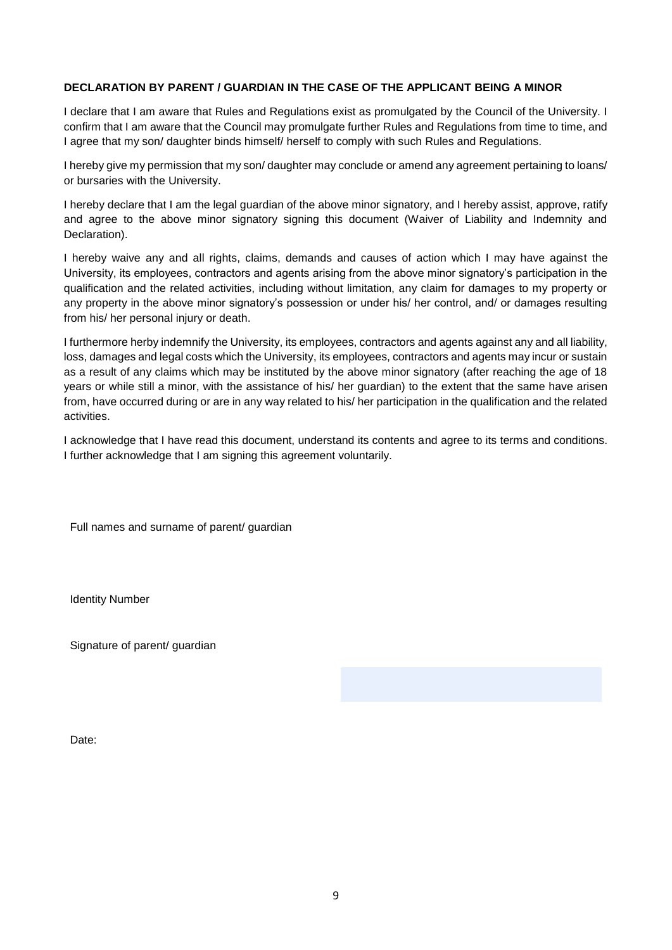### **DECLARATION BY PARENT / GUARDIAN IN THE CASE OF THE APPLICANT BEING A MINOR**

I declare that I am aware that Rules and Regulations exist as promulgated by the Council of the University. I confirm that I am aware that the Council may promulgate further Rules and Regulations from time to time, and I agree that my son/ daughter binds himself/ herself to comply with such Rules and Regulations.

I hereby give my permission that my son/ daughter may conclude or amend any agreement pertaining to loans/ or bursaries with the University.

I hereby declare that I am the legal guardian of the above minor signatory, and I hereby assist, approve, ratify and agree to the above minor signatory signing this document (Waiver of Liability and Indemnity and Declaration).

I hereby waive any and all rights, claims, demands and causes of action which I may have against the University, its employees, contractors and agents arising from the above minor signatory's participation in the qualification and the related activities, including without limitation, any claim for damages to my property or any property in the above minor signatory's possession or under his/ her control, and/ or damages resulting from his/ her personal injury or death.

I furthermore herby indemnify the University, its employees, contractors and agents against any and all liability, loss, damages and legal costs which the University, its employees, contractors and agents may incur or sustain as a result of any claims which may be instituted by the above minor signatory (after reaching the age of 18 years or while still a minor, with the assistance of his/ her guardian) to the extent that the same have arisen from, have occurred during or are in any way related to his/ her participation in the qualification and the related activities.

I acknowledge that I have read this document, understand its contents and agree to its terms and conditions. I further acknowledge that I am signing this agreement voluntarily.

Full names and surname of parent/ guardian

Identity Number

Signature of parent/ guardian

Date: **Date: Date: Date: Date: Date: Date: Date: Date: Date: Date: Date: Date: Date: Date: Date: Date: Date: Date: Date: Date: Date: Date: Date: Date: Date: Date: Date:**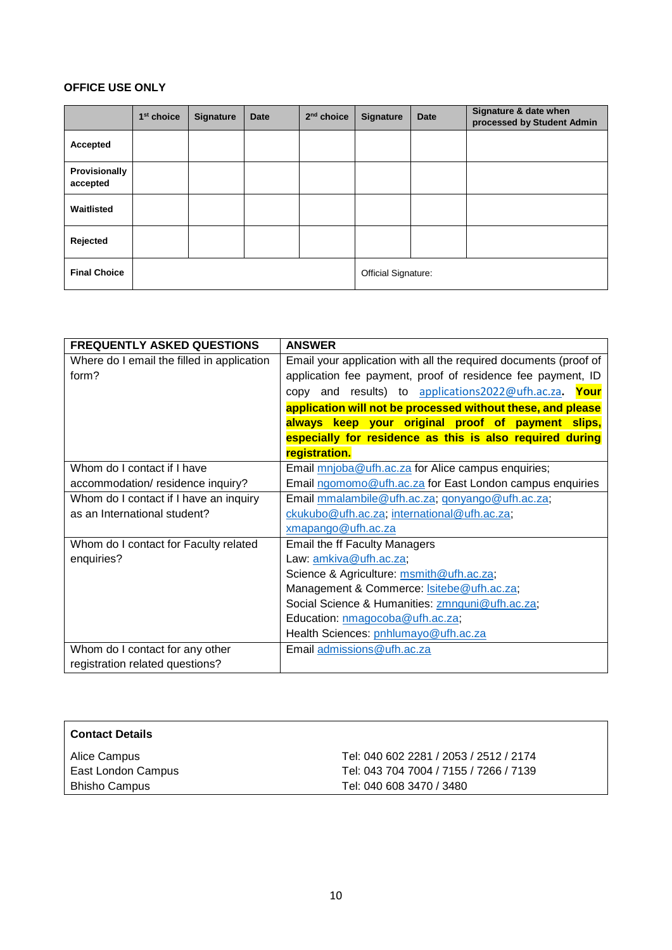## **OFFICE USE ONLY**

|                           | 1 <sup>st</sup> choice | <b>Signature</b> | <b>Date</b> | 2 <sup>nd</sup> choice | <b>Signature</b>    | <b>Date</b> | Signature & date when<br>processed by Student Admin |
|---------------------------|------------------------|------------------|-------------|------------------------|---------------------|-------------|-----------------------------------------------------|
| Accepted                  |                        |                  |             |                        |                     |             |                                                     |
| Provisionally<br>accepted |                        |                  |             |                        |                     |             |                                                     |
| Waitlisted                |                        |                  |             |                        |                     |             |                                                     |
| Rejected                  |                        |                  |             |                        |                     |             |                                                     |
| <b>Final Choice</b>       |                        |                  |             |                        | Official Signature: |             |                                                     |

| <b>FREQUENTLY ASKED QUESTIONS</b>          | <b>ANSWER</b>                                                    |
|--------------------------------------------|------------------------------------------------------------------|
| Where do I email the filled in application | Email your application with all the required documents (proof of |
| form?                                      | application fee payment, proof of residence fee payment, ID      |
|                                            | copy and results) to applications2022@ufh.ac.za.<br>Your         |
|                                            | application will not be processed without these, and please      |
|                                            | always keep your original proof of payment slips,                |
|                                            | especially for residence as this is also required during         |
|                                            | registration.                                                    |
| Whom do I contact if I have                | Email mnjoba@ufh.ac.za for Alice campus enquiries;               |
| accommodation/residence inquiry?           | Email ngomomo@ufh.ac.za for East London campus enquiries         |
| Whom do I contact if I have an inquiry     | Email mmalambile@ufh.ac.za; gonyango@ufh.ac.za;                  |
| as an International student?               | ckukubo@ufh.ac.za, international@ufh.ac.za;                      |
|                                            | xmapango@ufh.ac.za                                               |
| Whom do I contact for Faculty related      | <b>Email the ff Faculty Managers</b>                             |
| enquiries?                                 | Law: amkiva@ufh.ac.za;                                           |
|                                            | Science & Agriculture: msmith@ufh.ac.za;                         |
|                                            | Management & Commerce: <b>Isitebe@ufh.ac.za</b> ;                |
|                                            | Social Science & Humanities: zmnguni@ufh.ac.za;                  |
|                                            | Education: nmagocoba@ufh.ac.za;                                  |
|                                            | Health Sciences: pnhlumayo@ufh.ac.za                             |
| Whom do I contact for any other            | Email admissions@ufh.ac.za                                       |
| registration related questions?            |                                                                  |

| <b>Contact Details</b> |                                        |
|------------------------|----------------------------------------|
| Alice Campus           | Tel: 040 602 2281 / 2053 / 2512 / 2174 |
| East London Campus     | Tel: 043 704 7004 / 7155 / 7266 / 7139 |
| <b>Bhisho Campus</b>   | Tel: 040 608 3470 / 3480               |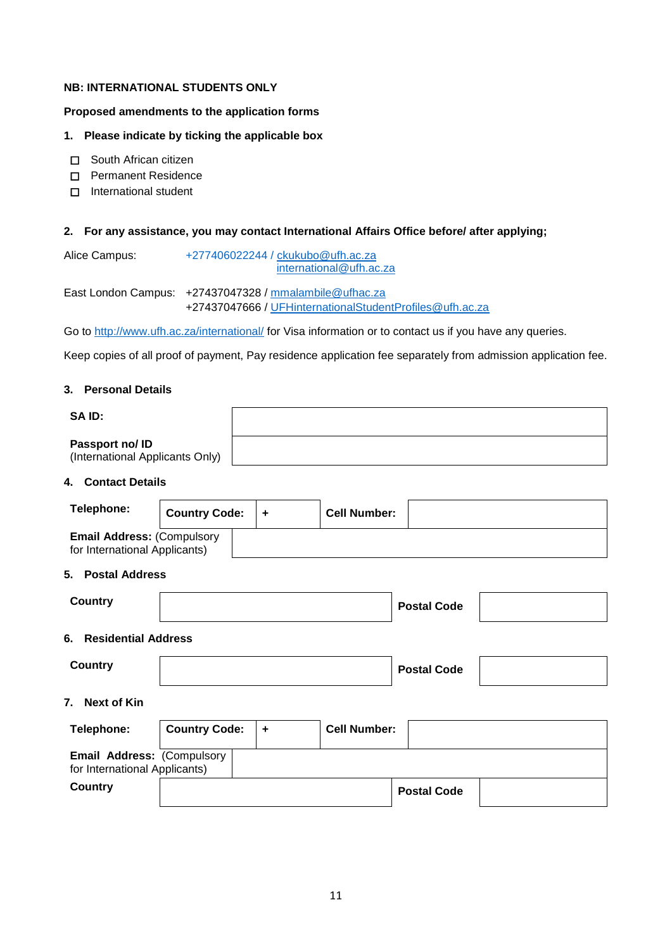## **NB: INTERNATIONAL STUDENTS ONLY**

#### **Proposed amendments to the application forms**

#### **1. Please indicate by ticking the applicable box**

- □ South African citizen
- ☐ Permanent Residence
- □ International student

#### **2. For any assistance, you may contact International Affairs Office before/ after applying;**

Alice Campus: [+277406022244 / ckukubo@ufh.ac.za](mailto:+277406022244%20/%20ckukubo@ufh.ac.za) [international@ufh.ac.za](mailto:international@ufh.ac.za)

East London Campus: +27437047328 / [mmalambile@ufhac.za](mailto:mmalambile@ufhac.za) +27437047666 / [UFHinternationalStudentProfiles@ufh.ac.za](mailto:UFHinternationalStudentProfiles@ufh.ac.za)

Go to<http://www.ufh.ac.za/international/> for Visa information or to contact us if you have any queries.

Keep copies of all proof of payment, Pay residence application fee separately from admission application fee.

#### **3. Personal Details**

| SAID:                                              |  |
|----------------------------------------------------|--|
| Passport no/ ID<br>(International Applicants Only) |  |
| $A = 11.4$ $B = 11.4$                              |  |

#### **4. Contact Details**

| Telephone:                                                         | <b>Country Code:</b> | $\ddot{}$ | <b>Cell Number:</b> |                    |
|--------------------------------------------------------------------|----------------------|-----------|---------------------|--------------------|
| <b>Email Address: (Compulsory</b><br>for International Applicants) |                      |           |                     |                    |
| 5. Postal Address                                                  |                      |           |                     |                    |
| <b>Country</b>                                                     |                      |           |                     | <b>Postal Code</b> |
| <b>Residential Address</b><br>6.                                   |                      |           |                     |                    |
| <b>Country</b>                                                     |                      |           |                     | <b>Postal Code</b> |
| 7.<br><b>Next of Kin</b>                                           |                      |           |                     |                    |
| Telephone:                                                         | <b>Country Code:</b> | $\ddot{}$ | <b>Cell Number:</b> |                    |
| Email Address: (Compulsory<br>for International Applicants)        |                      |           |                     |                    |
| <b>Country</b>                                                     |                      |           |                     | <b>Postal Code</b> |
|                                                                    |                      |           |                     |                    |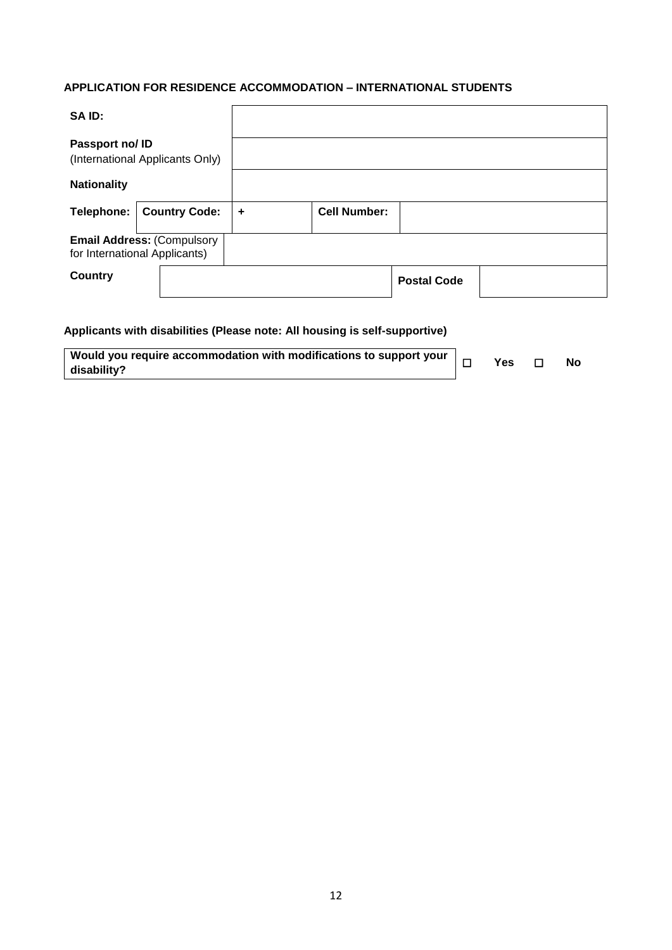## **APPLICATION FOR RESIDENCE ACCOMMODATION – INTERNATIONAL STUDENTS**

| SA ID:                                                             |                      |   |                     |                    |  |
|--------------------------------------------------------------------|----------------------|---|---------------------|--------------------|--|
| Passport no/ ID<br>(International Applicants Only)                 |                      |   |                     |                    |  |
| <b>Nationality</b>                                                 |                      |   |                     |                    |  |
| Telephone:                                                         | <b>Country Code:</b> | ÷ | <b>Cell Number:</b> |                    |  |
| <b>Email Address: (Compulsory</b><br>for International Applicants) |                      |   |                     |                    |  |
| Country                                                            |                      |   |                     | <b>Postal Code</b> |  |

## **Applicants with disabilities (Please note: All housing is self-supportive)**

| Would you require accommodation with modifications to support your | $\Box$ | Yes | No |
|--------------------------------------------------------------------|--------|-----|----|
| disability?                                                        |        |     |    |